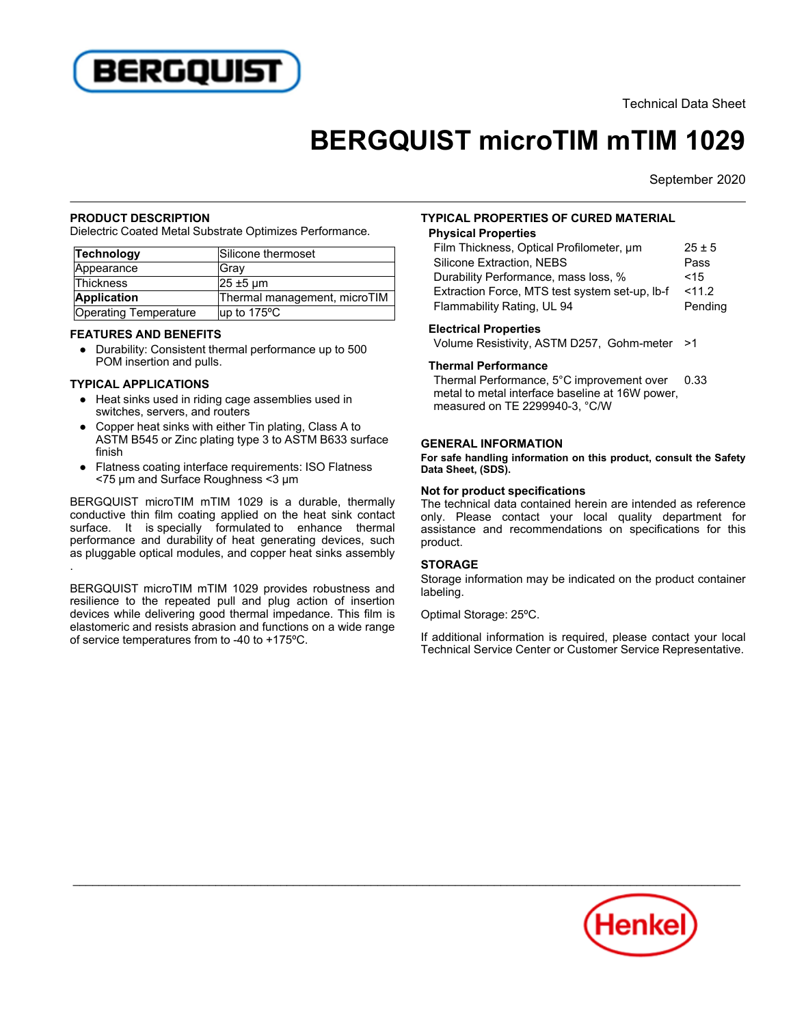

Technical Data Sheet

# **BERGQUIST microTIM mTIM 1029**

September 2020

#### **PRODUCT DESCRIPTION**

Dielectric Coated Metal Substrate Optimizes Performance.

| Technology            | Silicone thermoset           |
|-----------------------|------------------------------|
| Appearance            | lGrav                        |
| Thickness             | $25 \pm 5$ µm                |
| Application           | Thermal management, microTIM |
| Operating Temperature | $\mu$ p to 175 °C            |

#### **FEATURES AND BENEFITS**

■ 11 Dr. ■ Dr. ■ D Dr. ■ 11 Dr. ■ 11 Dr. ■ 11 Dr. ■ 11 Dr. ■ 11 Dr. ■ 10 Dr. ■ 10 Dr. ■ 10 Dr. ■ 10 Dr. ■ 10 D POM insertion and pulls.

#### **TYPICAL APPLICATIONS**

- Heat sinks used in riding cage assemblies used in switches, servers, and routers
- $\overline{\phantom{a}}$  Copper heat sinks with either Tin plating, Class A to ASTM B545 or Zinc plating type 3 to ASTM B633 surface finish
- ● Flatness coating interface requirements: ISO Flatness <75 µm and Surface Roughness <3 µm

BERGQUIST microTIM mTIM 1029 is a durable, thermally conductive thin film coating applied on the heat sink contact surface. It is specially formulated to enhance thermal performance and durability of heat generating devices, such performance and datability of near generating devices, such<br>as pluggable optical modules, and copper heat sinks assembly

BERGQUIST microTIM mTIM 1029 provides robustness and resilience to the repeated pull and plug action of insertion devices while delivering good thermal impedance. This film is elastomeric and resists abrasion and functions on a wide range of service temperatures from to -40 to +175ºC.

## **TYPICAL PROPERTIES OF CURED MATERIAL**

## **Physical Properties**

| Film Thickness, Optical Profilometer, um       | $25 \pm 5$ |
|------------------------------------------------|------------|
| Silicone Extraction, NEBS                      | Pass       |
| Durability Performance, mass loss, %           | < 15       |
| Extraction Force, MTS test system set-up, Ib-f | < 11.2     |
| Flammability Rating, UL 94                     | Pending    |
|                                                |            |

#### **Electrical Properties**

Volume Resistivity, ASTM D257, Gohm-meter >1

## **Thermal Performance**

Thermal Performance, 5°C improvement over metal to metal interface baseline at 16W power. measured on TE 2299940-3, °C/W 0.33

#### **GENERAL INFORMATION**

**For safe handling information on this product, consult the Safety Data Sheet, (SDS).**

#### **Not for product specifications**

The technical data contained herein are intended as reference only. Please contact your local quality department for assistance and recommendations on specifications for this product.

## **STORAGE**

Storage information may be indicated on the product container labeling.

Optimal Storage: 25ºC.

If additional information is required, please contact your local In additional information is required, piease contact your local<br>Technical Service Center or Customer Service Representative.